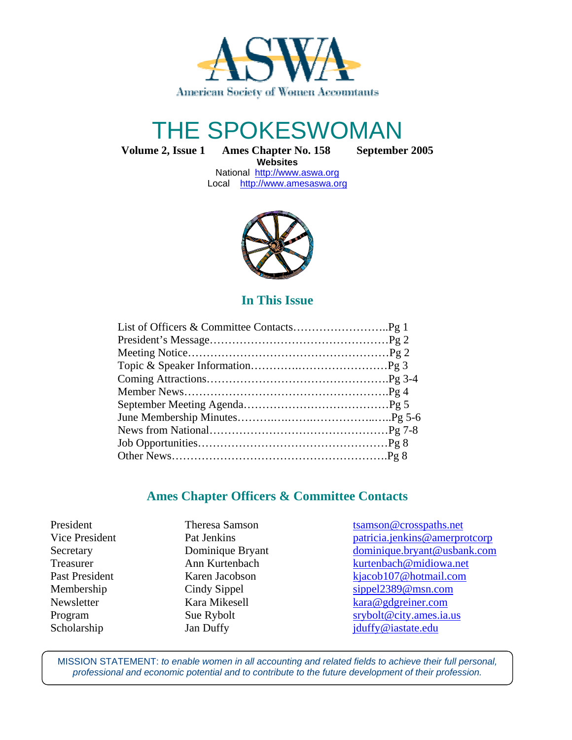

# THE SPOKESWOMAN

**Volume 2, Issue 1 Ames Chapter No. 158 September 2005**

**Websites**  National http://www.aswa.org Local http://www.amesaswa.org



## **In This Issue**

## **Ames Chapter Officers & Committee Contacts**

President Theresa Samson tsamson transmospaths.net Vice President Pat Jenkins Pat Veneticia.jenkins @amerprotcorp Secretary Dominique Bryant dominique.bryant @usbank.com Treasurer **Ann Kurtenbach** kurtenbach kurtenbach@midiowa.net Past President Karen Jacobson kjacob107@hotmail.com Membership Cindy Sippel Sippel sippel2389@msn.com Newsletter Kara Mikesell kara@gdgreiner.com Program Sue Rybolt srybolt srybolt srybolt srybolt srybolt srybolt srybolt srybolt srybolt srybolt srybolt srybolt srybolt srybolt srybolt srybolt srybolt srybolt srybolt srybolt srybolt srybolt srybolt srybolt srybolt sry Scholarship Jan Duffy Jan Duffy jduffy@iastate.edu

MISSION STATEMENT: to enable women in all accounting and related fields to achieve their full personal, professional and economic potential and to contribute to the future development of their profession.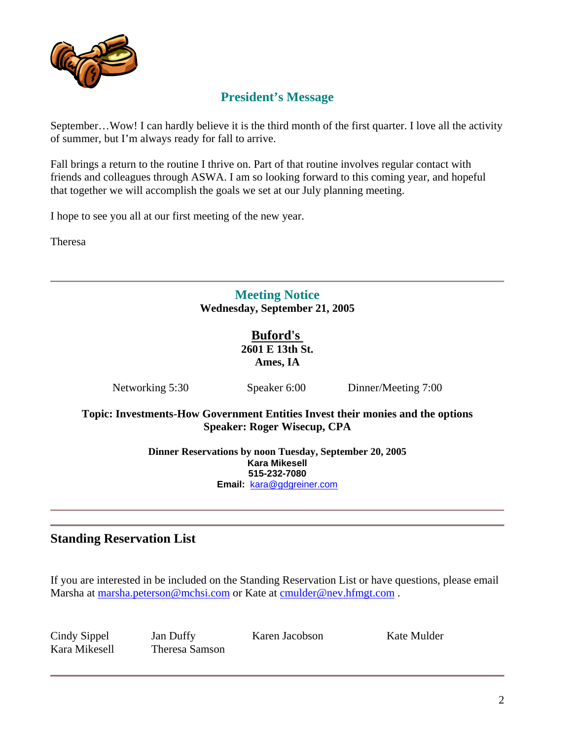

# **President's Message**

September…Wow! I can hardly believe it is the third month of the first quarter. I love all the activity of summer, but I'm always ready for fall to arrive.

Fall brings a return to the routine I thrive on. Part of that routine involves regular contact with friends and colleagues through ASWA. I am so looking forward to this coming year, and hopeful that together we will accomplish the goals we set at our July planning meeting.

I hope to see you all at our first meeting of the new year.

Theresa

## **Meeting Notice Wednesday, September 21, 2005**

**Buford's 2601 E 13th St. Ames, IA** 

Networking 5:30 Speaker 6:00 Dinner/Meeting 7:00

**Topic: Investments-How Government Entities Invest their monies and the options Speaker: Roger Wisecup, CPA** 

> **Dinner Reservations by noon Tuesday, September 20, 2005 Kara Mikesell 515-232-7080 Email:** kara@gdgreiner.com

## **Standing Reservation List**

If you are interested in be included on the Standing Reservation List or have questions, please email Marsha at marsha.peterson@mchsi.com or Kate at cmulder@nev.hfmgt.com.

Cindy Sippel Jan Duffy Karen Jacobson Kate Mulder Kara Mikesell Theresa Samson

2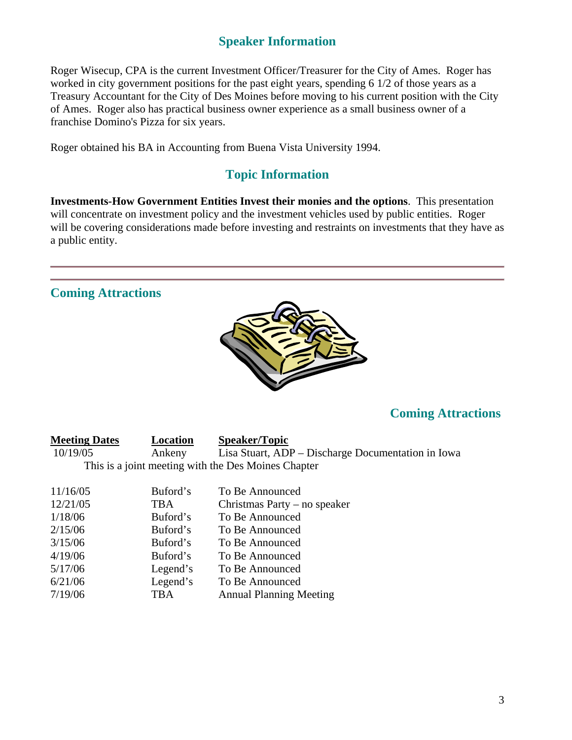## **Speaker Information**

Roger Wisecup, CPA is the current Investment Officer/Treasurer for the City of Ames. Roger has worked in city government positions for the past eight years, spending 6 1/2 of those years as a Treasury Accountant for the City of Des Moines before moving to his current position with the City of Ames. Roger also has practical business owner experience as a small business owner of a franchise Domino's Pizza for six years.

Roger obtained his BA in Accounting from Buena Vista University 1994.

## **Topic Information**

**Investments-How Government Entities Invest their monies and the options**. This presentation will concentrate on investment policy and the investment vehicles used by public entities. Roger will be covering considerations made before investing and restraints on investments that they have as a public entity.

## **Coming Attractions**



# **Coming Attractions**

| <b>Meeting Dates</b>                                | Location | <b>Speaker/Topic</b>                               |  |  |  |
|-----------------------------------------------------|----------|----------------------------------------------------|--|--|--|
| 10/19/05                                            | Ankeny   | Lisa Stuart, ADP – Discharge Documentation in Iowa |  |  |  |
| This is a joint meeting with the Des Moines Chapter |          |                                                    |  |  |  |
| 11/16/05                                            | Buford's | To Be Announced                                    |  |  |  |
| 12/21/05                                            | TBA      | Christmas Party – no speaker                       |  |  |  |
| 1/18/06                                             | Buford's | To Be Announced                                    |  |  |  |
| 2/15/06                                             | Buford's | To Be Announced                                    |  |  |  |
| 3/15/06                                             | Buford's | To Be Announced                                    |  |  |  |
| 4/19/06                                             | Buford's | To Be Announced                                    |  |  |  |
| 5/17/06                                             | Legend's | To Be Announced                                    |  |  |  |
|                                                     |          |                                                    |  |  |  |

#### 6/21/06 Legend's To Be Announced 7/19/06 TBA Annual Planning Meeting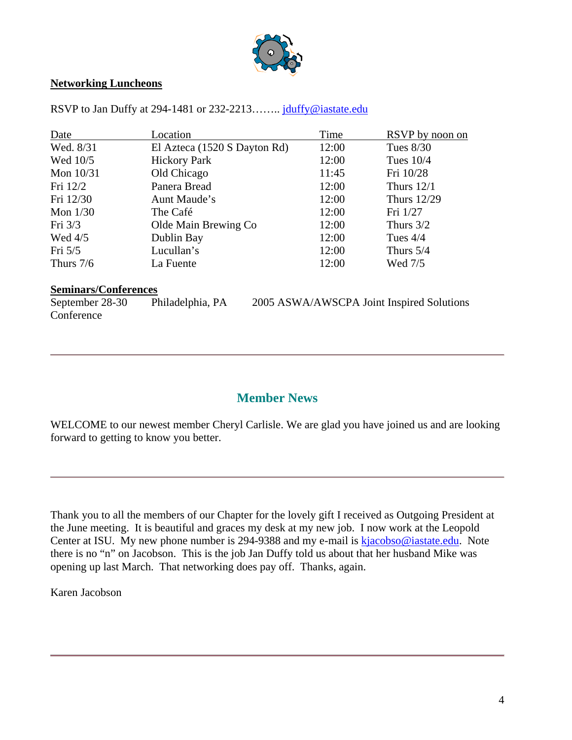

#### **Networking Luncheons**

| Date        | Location                     | Time  | RSVP by noon on    |
|-------------|------------------------------|-------|--------------------|
| Wed. 8/31   | El Azteca (1520 S Dayton Rd) | 12:00 | Tues $8/30$        |
| Wed 10/5    | <b>Hickory Park</b>          | 12:00 | Tues $10/4$        |
| Mon $10/31$ | Old Chicago                  | 11:45 | Fri 10/28          |
| Fri 12/2    | Panera Bread                 | 12:00 | Thurs $12/1$       |
| Fri 12/30   | Aunt Maude's                 | 12:00 | <b>Thurs</b> 12/29 |
| Mon $1/30$  | The Café                     | 12:00 | Fri 1/27           |
| Fri $3/3$   | Olde Main Brewing Co         | 12:00 | Thurs $3/2$        |
| Wed $4/5$   | Dublin Bay                   | 12:00 | Tues $4/4$         |
| Fri $5/5$   | Lucullan's                   | 12:00 | Thurs $5/4$        |
| Thurs $7/6$ | La Fuente                    | 12:00 | Wed 7/5            |

RSVP to Jan Duffy at 294-1481 or 232-2213........ jduffy@iastate.edu

#### **Seminars/Conferences**

**Conference** 

September 28-30 Philadelphia, PA 2005 ASWA/AWSCPA Joint Inspired Solutions

#### **Member News**

WELCOME to our newest member Cheryl Carlisle. We are glad you have joined us and are looking forward to getting to know you better.

Thank you to all the members of our Chapter for the lovely gift I received as Outgoing President at the June meeting. It is beautiful and graces my desk at my new job. I now work at the Leopold Center at ISU. My new phone number is 294-9388 and my e-mail is kjacobso@iastate.edu. Note there is no "n" on Jacobson. This is the job Jan Duffy told us about that her husband Mike was opening up last March. That networking does pay off. Thanks, again.

Karen Jacobson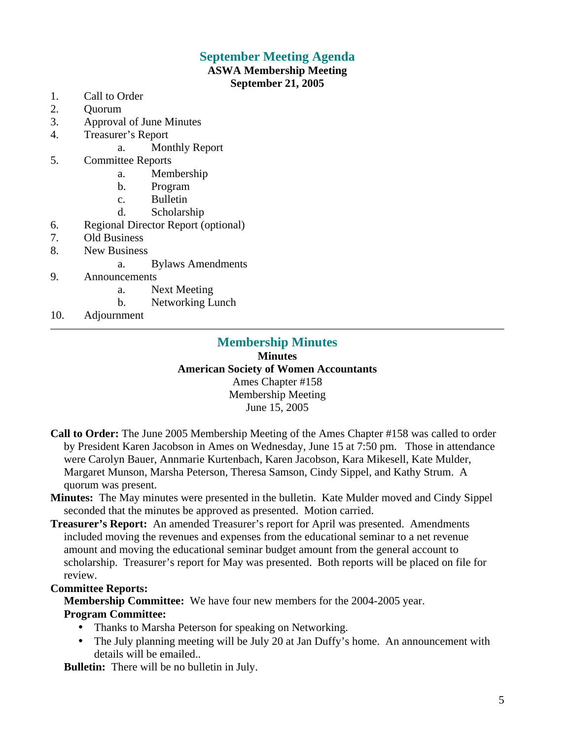## **September Meeting Agenda**

#### **ASWA Membership Meeting September 21, 2005**

- 1. Call to Order
- 2. Quorum
- 3. Approval of June Minutes
- 4. Treasurer's Report
	- a. Monthly Report
- 5. Committee Reports
	- a. Membership
	- b. Program
	- c. Bulletin
	- d. Scholarship
- 6. Regional Director Report (optional)
- 7. Old Business
- 8. New Business
	- a. Bylaws Amendments
- 9. Announcements
	- a. Next Meeting
	- b. Networking Lunch
- 10. Adjournment

# **Membership Minutes**

**Minutes American Society of Women Accountants**  Ames Chapter #158 Membership Meeting June 15, 2005

- **Call to Order:** The June 2005 Membership Meeting of the Ames Chapter #158 was called to order by President Karen Jacobson in Ames on Wednesday, June 15 at 7:50 pm. Those in attendance were Carolyn Bauer, Annmarie Kurtenbach, Karen Jacobson, Kara Mikesell, Kate Mulder, Margaret Munson, Marsha Peterson, Theresa Samson, Cindy Sippel, and Kathy Strum. A quorum was present.
- **Minutes:** The May minutes were presented in the bulletin. Kate Mulder moved and Cindy Sippel seconded that the minutes be approved as presented. Motion carried.
- **Treasurer's Report:** An amended Treasurer's report for April was presented. Amendments included moving the revenues and expenses from the educational seminar to a net revenue amount and moving the educational seminar budget amount from the general account to scholarship. Treasurer's report for May was presented. Both reports will be placed on file for review.

#### **Committee Reports:**

**Membership Committee:** We have four new members for the 2004-2005 year. **Program Committee:** 

- Thanks to Marsha Peterson for speaking on Networking.
- The July planning meeting will be July 20 at Jan Duffy's home. An announcement with details will be emailed..

**Bulletin:** There will be no bulletin in July.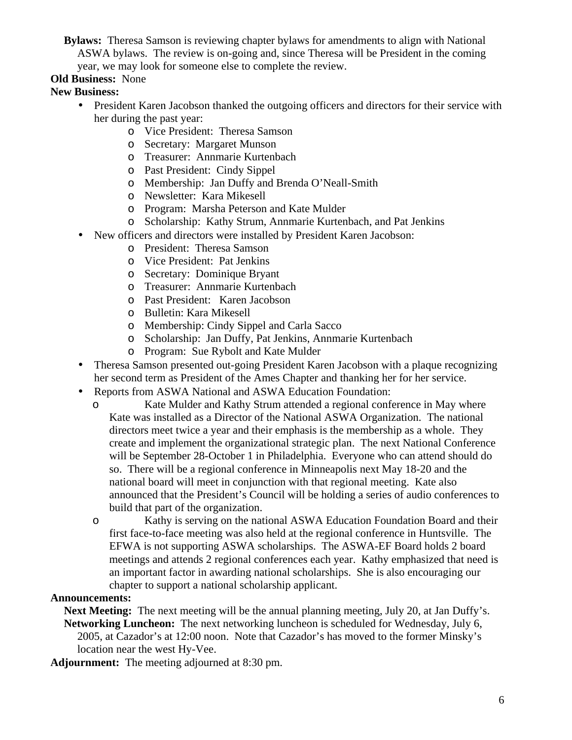**Bylaws:** Theresa Samson is reviewing chapter bylaws for amendments to align with National ASWA bylaws. The review is on-going and, since Theresa will be President in the coming year, we may look for someone else to complete the review.

#### **Old Business:** None

#### **New Business:**

- President Karen Jacobson thanked the outgoing officers and directors for their service with her during the past year:
	- o Vice President: Theresa Samson
	- o Secretary: Margaret Munson
	- o Treasurer: Annmarie Kurtenbach
	- o Past President: Cindy Sippel
	- o Membership: Jan Duffy and Brenda O'Neall-Smith
	- o Newsletter: Kara Mikesell
	- o Program: Marsha Peterson and Kate Mulder
	- o Scholarship: Kathy Strum, Annmarie Kurtenbach, and Pat Jenkins
- New officers and directors were installed by President Karen Jacobson:
	- o President: Theresa Samson
	- o Vice President: Pat Jenkins
	- o Secretary: Dominique Bryant
	- o Treasurer: Annmarie Kurtenbach
	- o Past President: Karen Jacobson
	- o Bulletin: Kara Mikesell
	- o Membership: Cindy Sippel and Carla Sacco
	- o Scholarship: Jan Duffy, Pat Jenkins, Annmarie Kurtenbach
	- o Program: Sue Rybolt and Kate Mulder
- Theresa Samson presented out-going President Karen Jacobson with a plaque recognizing her second term as President of the Ames Chapter and thanking her for her service.
- Reports from ASWA National and ASWA Education Foundation:
	- o Kate Mulder and Kathy Strum attended a regional conference in May where Kate was installed as a Director of the National ASWA Organization. The national directors meet twice a year and their emphasis is the membership as a whole. They create and implement the organizational strategic plan. The next National Conference will be September 28-October 1 in Philadelphia. Everyone who can attend should do so. There will be a regional conference in Minneapolis next May 18-20 and the national board will meet in conjunction with that regional meeting. Kate also announced that the President's Council will be holding a series of audio conferences to build that part of the organization.
	- o Kathy is serving on the national ASWA Education Foundation Board and their first face-to-face meeting was also held at the regional conference in Huntsville. The EFWA is not supporting ASWA scholarships. The ASWA-EF Board holds 2 board meetings and attends 2 regional conferences each year. Kathy emphasized that need is an important factor in awarding national scholarships. She is also encouraging our chapter to support a national scholarship applicant.

#### **Announcements:**

**Next Meeting:** The next meeting will be the annual planning meeting, July 20, at Jan Duffy's. **Networking Luncheon:** The next networking luncheon is scheduled for Wednesday, July 6, 2005, at Cazador's at 12:00 noon. Note that Cazador's has moved to the former Minsky's location near the west Hy-Vee.

**Adjournment:** The meeting adjourned at 8:30 pm.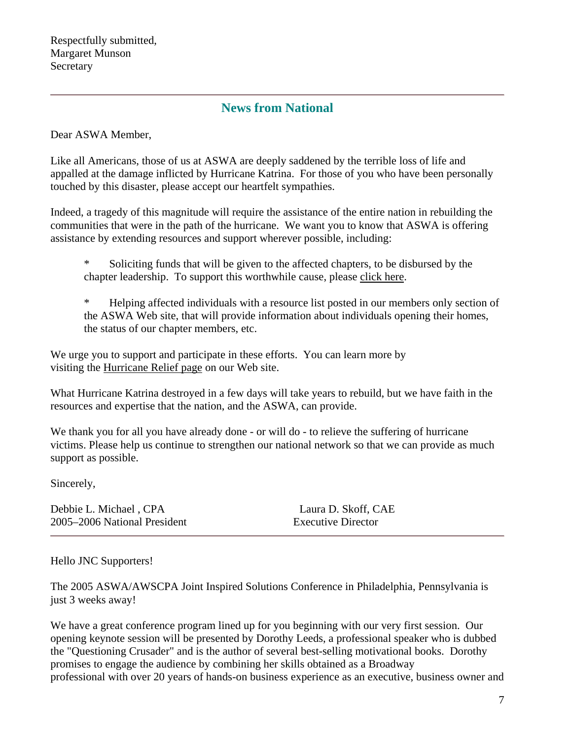## **News from National**

Dear ASWA Member,

Like all Americans, those of us at ASWA are deeply saddened by the terrible loss of life and appalled at the damage inflicted by Hurricane Katrina. For those of you who have been personally touched by this disaster, please accept our heartfelt sympathies.

Indeed, a tragedy of this magnitude will require the assistance of the entire nation in rebuilding the communities that were in the path of the hurricane. We want you to know that ASWA is offering assistance by extending resources and support wherever possible, including:

\* Soliciting funds that will be given to the affected chapters, to be disbursed by the chapter leadership. To support this worthwhile cause, please click here.

\* Helping affected individuals with a resource list posted in our members only section of the ASWA Web site, that will provide information about individuals opening their homes, the status of our chapter members, etc.

We urge you to support and participate in these efforts. You can learn more by visiting the Hurricane Relief page on our Web site.

What Hurricane Katrina destroyed in a few days will take years to rebuild, but we have faith in the resources and expertise that the nation, and the ASWA, can provide.

We thank you for all you have already done - or will do - to relieve the suffering of hurricane victims. Please help us continue to strengthen our national network so that we can provide as much support as possible.

Sincerely,

Debbie L. Michael , CPA Laura D. Skoff, CAE 2005–2006 National President Executive Director

Hello JNC Supporters!

The 2005 ASWA/AWSCPA Joint Inspired Solutions Conference in Philadelphia, Pennsylvania is just 3 weeks away!

We have a great conference program lined up for you beginning with our very first session. Our opening keynote session will be presented by Dorothy Leeds, a professional speaker who is dubbed the "Questioning Crusader" and is the author of several best-selling motivational books. Dorothy promises to engage the audience by combining her skills obtained as a Broadway professional with over 20 years of hands-on business experience as an executive, business owner and